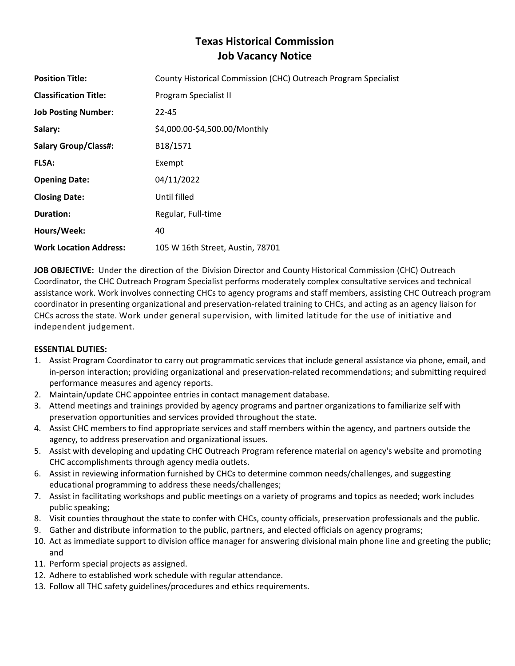# **Texas Historical Commission Job Vacancy Notice**

| <b>Position Title:</b>        | County Historical Commission (CHC) Outreach Program Specialist |
|-------------------------------|----------------------------------------------------------------|
| <b>Classification Title:</b>  | Program Specialist II                                          |
| <b>Job Posting Number:</b>    | $22 - 45$                                                      |
| Salary:                       | \$4,000.00-\$4,500.00/Monthly                                  |
| <b>Salary Group/Class#:</b>   | B18/1571                                                       |
| <b>FLSA:</b>                  | Exempt                                                         |
| <b>Opening Date:</b>          | 04/11/2022                                                     |
| <b>Closing Date:</b>          | Until filled                                                   |
| <b>Duration:</b>              | Regular, Full-time                                             |
| Hours/Week:                   | 40                                                             |
| <b>Work Location Address:</b> | 105 W 16th Street, Austin, 78701                               |

**JOB OBJECTIVE:** Under the direction of the Division Director and County Historical Commission (CHC) Outreach Coordinator, the CHC Outreach Program Specialist performs moderately complex consultative services and technical assistance work. Work involves connecting CHCs to agency programs and staff members, assisting CHC Outreach program coordinator in presenting organizational and preservation-related training to CHCs, and acting as an agency liaison for CHCs across the state. Work under general supervision, with limited latitude for the use of initiative and independent judgement.

# **ESSENTIAL DUTIES:**

- 1. Assist Program Coordinator to carry out programmatic services that include general assistance via phone, email, and in-person interaction; providing organizational and preservation-related recommendations; and submitting required performance measures and agency reports.
- 2. Maintain/update CHC appointee entries in contact management database.
- 3. Attend meetings and trainings provided by agency programs and partner organizations to familiarize self with preservation opportunities and services provided throughout the state.
- 4. Assist CHC members to find appropriate services and staff members within the agency, and partners outside the agency, to address preservation and organizational issues.
- 5. Assist with developing and updating CHC Outreach Program reference material on agency's website and promoting CHC accomplishments through agency media outlets.
- 6. Assist in reviewing information furnished by CHCs to determine common needs/challenges, and suggesting educational programming to address these needs/challenges;
- 7. Assist in facilitating workshops and public meetings on a variety of programs and topics as needed; work includes public speaking;
- 8. Visit counties throughout the state to confer with CHCs, county officials, preservation professionals and the public.
- 9. Gather and distribute information to the public, partners, and elected officials on agency programs;
- 10. Act as immediate support to division office manager for answering divisional main phone line and greeting the public; and
- 11. Perform special projects as assigned.
- 12. Adhere to established work schedule with regular attendance.
- 13. Follow all THC safety guidelines/procedures and ethics requirements.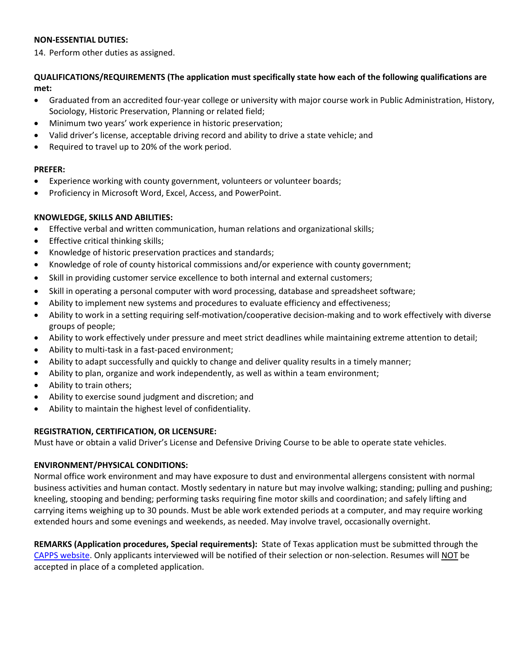# **NON-ESSENTIAL DUTIES:**

14. Perform other duties as assigned.

# **QUALIFICATIONS/REQUIREMENTS (The application must specifically state how each of the following qualifications are met:**

- Graduated from an accredited four-year college or university with major course work in Public Administration, History, Sociology, Historic Preservation, Planning or related field;
- Minimum two years' work experience in historic preservation;
- Valid driver's license, acceptable driving record and ability to drive a state vehicle; and
- Required to travel up to 20% of the work period.

#### **PREFER:**

- Experience working with county government, volunteers or volunteer boards;
- Proficiency in Microsoft Word, Excel, Access, and PowerPoint.

# **KNOWLEDGE, SKILLS AND ABILITIES:**

- Effective verbal and written communication, human relations and organizational skills;
- Effective critical thinking skills;
- Knowledge of historic preservation practices and standards;
- Knowledge of role of county historical commissions and/or experience with county government;
- Skill in providing customer service excellence to both internal and external customers;
- Skill in operating a personal computer with word processing, database and spreadsheet software;
- Ability to implement new systems and procedures to evaluate efficiency and effectiveness;
- Ability to work in a setting requiring self-motivation/cooperative decision-making and to work effectively with diverse groups of people;
- Ability to work effectively under pressure and meet strict deadlines while maintaining extreme attention to detail;
- Ability to multi-task in a fast-paced environment;
- Ability to adapt successfully and quickly to change and deliver quality results in a timely manner;
- Ability to plan, organize and work independently, as well as within a team environment;
- Ability to train others;
- Ability to exercise sound judgment and discretion; and
- Ability to maintain the highest level of confidentiality.

# **REGISTRATION, CERTIFICATION, OR LICENSURE:**

Must have or obtain a valid Driver's License and Defensive Driving Course to be able to operate state vehicles.

# **ENVIRONMENT/PHYSICAL CONDITIONS:**

Normal office work environment and may have exposure to dust and environmental allergens consistent with normal business activities and human contact. Mostly sedentary in nature but may involve walking; standing; pulling and pushing; kneeling, stooping and bending; performing tasks requiring fine motor skills and coordination; and safely lifting and carrying items weighing up to 30 pounds. Must be able work extended periods at a computer, and may require working extended hours and some evenings and weekends, as needed. May involve travel, occasionally overnight.

**REMARKS (Application procedures, Special requirements):** State of Texas application must be submitted through the [CAPPS website.](https://capps.taleo.net/careersection/808/jobsearch.ftl?lang=en) Only applicants interviewed will be notified of their selection or non-selection. Resumes will NOT be accepted in place of a completed application.